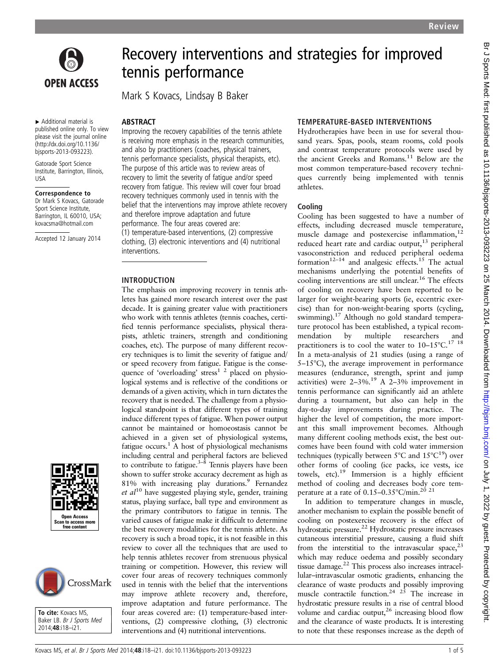



# Recovery interventions and strategies for improved tennis performance

Mark S Kovacs, Lindsay B Baker

▸ Additional material is published online only. To view please visit the journal online [\(http://dx.doi.org/10.1136/](http://dx.doi.org/10.1136/bjsports-2013-093223) [bjsports-2013-093223](http://dx.doi.org/10.1136/bjsports-2013-093223)).

Gatorade Sport Science Institute, Barrington, Illinois, USA

Correspondence to Dr Mark S Kovacs, Gatorade Sport Science Institute, Barrington, IL 60010, USA; kovacsma@hotmail.com

Accepted 12 January 2014

#### Improving the recovery capabilities of the tennis athlete is receiving more emphasis in the research communities, and also by practitioners (coaches, physical trainers, tennis performance specialists, physical therapists, etc). The purpose of this article was to review areas of recovery to limit the severity of fatigue and/or speed recovery from fatigue. This review will cover four broad recovery techniques commonly used in tennis with the belief that the interventions may improve athlete recovery and therefore improve adaptation and future performance. The four areas covered are: (1) temperature-based interventions, (2) compressive clothing, (3) electronic interventions and (4) nutritional

#### INTRODUCTION

interventions.

ABSTRACT

The emphasis on improving recovery in tennis athletes has gained more research interest over the past decade. It is gaining greater value with practitioners who work with tennis athletes (tennis coaches, certified tennis performance specialists, physical therapists, athletic trainers, strength and conditioning coaches, etc). The purpose of many different recovery techniques is to limit the severity of fatigue and/ or speed recovery from fatigue. Fatigue is the conseor speed recovery from rangue. Among  $\approx$  112 placed on physio-<br>quence of 'overloading' stress<sup>1 2</sup> placed on physiological systems and is reflective of the conditions or demands of a given activity, which in turn dictates the recovery that is needed. The challenge from a physiological standpoint is that different types of training induce different types of fatigue. When power output cannot be maintained or homoeostasis cannot be achieved in a given set of physiological systems, fatigue occurs.<sup>1</sup> A host of physiological mechanisms including central and peripheral factors are believed to contribute to fatigue.<sup> $3-\hat{8}$ </sup> Tennis players have been shown to suffer stroke accuracy decrement as high as 81% with increasing play durations.<sup>9</sup> Fernandez et  $al^{10}$  have suggested playing style, gender, training status, playing surface, ball type and environment as the primary contributors to fatigue in tennis. The varied causes of fatigue make it difficult to determine the best recovery modalities for the tennis athlete. As recovery is such a broad topic, it is not feasible in this review to cover all the techniques that are used to help tennis athletes recover from strenuous physical training or competition. However, this review will cover four areas of recovery techniques commonly used in tennis with the belief that the interventions may improve athlete recovery and, therefore, improve adaptation and future performance. The four areas covered are: (1) temperature-based interventions, (2) compressive clothing, (3) electronic interventions and (4) nutritional interventions.

#### TEMPERATURE-BASED INTERVENTIONS

Hydrotherapies have been in use for several thousand years. Spas, pools, steam rooms, cold pools and contrast temperature protocols were used by the ancient Greeks and Romans.11 Below are the most common temperature-based recovery techniques currently being implemented with tennis athletes.

#### Cooling

Cooling has been suggested to have a number of effects, including decreased muscle temperature, muscle damage and postexercise inflammation,<sup>12</sup> reduced heart rate and cardiac output,<sup>13</sup> peripheral vasoconstriction and reduced peripheral oedema formation $12-14$  and analgesic effects.<sup>15</sup> The actual mechanisms underlying the potential benefits of cooling interventions are still unclear.<sup>16</sup> The effects of cooling on recovery have been reported to be larger for weight-bearing sports (ie, eccentric exercise) than for non-weight-bearing sports (cycling, swimming). $^{17}$  Although no gold standard temperature protocol has been established, a typical recommendation by multiple researchers and practitioners is to cool the water to  $10-15^{\circ}$ C.<sup>17 18</sup> In a meta-analysis of 21 studies (using a range of 5–15°C), the average improvement in performance measures (endurance, strength, sprint and jump activities) were  $2-3\%$ .<sup>19</sup> A  $2-3\%$  improvement in tennis performance can significantly aid an athlete during a tournament, but also can help in the day-to-day improvements during practice. The higher the level of competition, the more important this small improvement becomes. Although many different cooling methods exist, the best outcomes have been found with cold water immersion techniques (typically between  $5^{\circ}$ C and  $15^{\circ}$ C<sup>19</sup>) over other forms of cooling (ice packs, ice vests, ice towels, etc).<sup>19</sup> Immersion is a highly efficient method of cooling and decreases body core temperature at a rate of  $0.15-0.35^{\circ}$ C/min.<sup>20 21</sup>

In addition to temperature changes in muscle, another mechanism to explain the possible benefit of cooling on postexercise recovery is the effect of hydrostatic pressure.<sup>22</sup> Hydrostatic pressure increases cutaneous interstitial pressure, causing a fluid shift from the interstitial to the intravascular space, $2<sup>3</sup>$ which may reduce oedema and possibly secondary tissue damage.22 This process also increases intracellular–intravascular osmotic gradients, enhancing the clearance of waste products and possibly improving muscle contractile function.<sup>24</sup> <sup>25</sup> The increase in hydrostatic pressure results in a rise of central blood volume and cardiac output, $26$  increasing blood flow and the clearance of waste products. It is interesting to note that these responses increase as the depth of





To cite: Kovacs MS, Baker LB. Br J Sports Med 2014;48:i18–i21.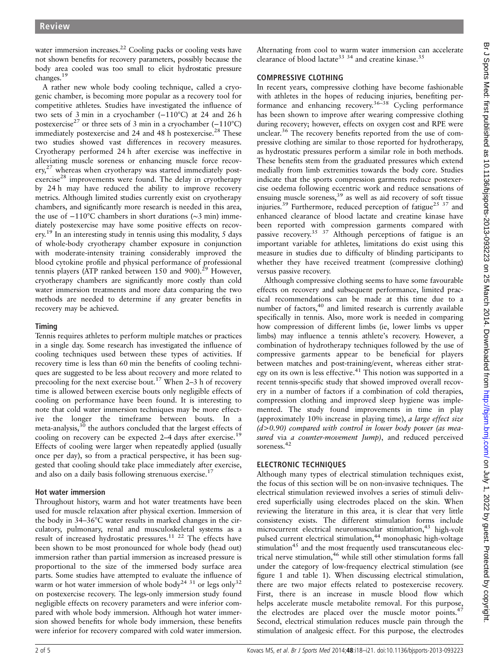water immersion increases.<sup>22</sup> Cooling packs or cooling vests have not shown benefits for recovery parameters, possibly because the body area cooled was too small to elicit hydrostatic pressure changes.19

A rather new whole body cooling technique, called a cryogenic chamber, is becoming more popular as a recovery tool for competitive athletes. Studies have investigated the influence of two sets of 3 min in a cryochamber (−110°C) at 24 and 26 h postexercise<sup>27</sup> or three sets of 3 min in a cryochamber (−110°C) immediately postexercise and 24 and 48 h postexercise.<sup>28</sup> These two studies showed vast differences in recovery measures. Cryotherapy performed 24 h after exercise was ineffective in alleviating muscle soreness or enhancing muscle force recovery,<sup>27</sup> whereas when cryotherapy was started immediately postexercise<sup>28</sup> improvements were found. The delay in cryotherapy by 24 h may have reduced the ability to improve recovery metrics. Although limited studies currently exist on cryotherapy chambers, and significantly more research is needed in this area, the use of −110°C chambers in short durations (∼3 min) immediately postexercise may have some positive effects on recovery.<sup>19</sup> In an interesting study in tennis using this modality, 5 days of whole-body cryotherapy chamber exposure in conjunction with moderate-intensity training considerably improved the blood cytokine profile and physical performance of professional tennis players (ATP ranked between 150 and 900).<sup>29</sup> However, cryotherapy chambers are significantly more costly than cold water immersion treatments and more data comparing the two methods are needed to determine if any greater benefits in recovery may be achieved.

#### Timing

Tennis requires athletes to perform multiple matches or practices in a single day. Some research has investigated the influence of cooling techniques used between these types of activities. If recovery time is less than 60 min the benefits of cooling techniques are suggested to be less about recovery and more related to precooling for the next exercise bout.<sup>17</sup> When 2–3 h of recovery time is allowed between exercise bouts only negligible effects of cooling on performance have been found. It is interesting to note that cold water immersion techniques may be more effective the longer the timeframe between bouts. In a meta-analysis, $3<sup>5</sup>$  the authors concluded that the largest effects of cooling on recovery can be expected 2–4 days after exercise.<sup>19</sup> Effects of cooling were larger when repeatedly applied (usually once per day), so from a practical perspective, it has been suggested that cooling should take place immediately after exercise, and also on a daily basis following strenuous exercise.<sup>17</sup>

#### Hot water immersion

Throughout history, warm and hot water treatments have been used for muscle relaxation after physical exertion. Immersion of the body in 34–36°C water results in marked changes in the circulatory, pulmonary, renal and musculoskeletal systems as a result of increased hydrostatic pressures.<sup>11 22</sup> The effects have been shown to be most pronounced for whole body (head out) immersion rather than partial immersion as increased pressure is proportional to the size of the immersed body surface area parts. Some studies have attempted to evaluate the influence of warm or hot water immersion of whole body<sup>24 31</sup> or legs only<sup>32</sup> on postexercise recovery. The legs-only immersion study found negligible effects on recovery parameters and were inferior compared with whole body immersion. Although hot water immersion showed benefits for whole body immersion, these benefits were inferior for recovery compared with cold water immersion.

Alternating from cool to warm water immersion can accelerate clearance of blood lactate<sup>33</sup> <sup>34</sup> and creatine kinase.<sup>35</sup>

## COMPRESSIVE CLOTHING

In recent years, compressive clothing have become fashionable with athletes in the hopes of reducing injuries, benefiting performance and enhancing recovery.<sup>36–38</sup> Cycling performance has been shown to improve after wearing compressive clothing during recovery; however, effects on oxygen cost and RPE were unclear.<sup>36</sup> The recovery benefits reported from the use of compressive clothing are similar to those reported for hydrotherapy, as hydrostatic pressures perform a similar role in both methods. These benefits stem from the graduated pressures which extend medially from limb extremities towards the body core. Studies indicate that the sports compression garments reduce postexercise oedema following eccentric work and reduce sensations of ensuing muscle soreness,<sup>39</sup> as well as aid recovery of soft tissue injuries.<sup>39</sup> Furthermore, reduced perception of fatigue<sup>25</sup> <sup>37</sup> and enhanced clearance of blood lactate and creatine kinase have been reported with compression garments compared with passive recovery.<sup>35</sup> <sup>37</sup> Although perceptions of fatigue is an important variable for athletes, limitations do exist using this measure in studies due to difficulty of blinding participants to whether they have received treatment (compressive clothing) versus passive recovery.

Although compressive clothing seems to have some favourable effects on recovery and subsequent performance, limited practical recommendations can be made at this time due to a number of factors,<sup>40</sup> and limited research is currently available specifically in tennis. Also, more work is needed in comparing how compression of different limbs (ie, lower limbs vs upper limbs) may influence a tennis athlete's recovery. However, a combination of hydrotherapy techniques followed by the use of compressive garments appear to be beneficial for players between matches and post-training/event, whereas either strategy on its own is less effective.<sup>41</sup> This notion was supported in a recent tennis-specific study that showed improved overall recovery in a number of factors if a combination of cold therapies, compression clothing and improved sleep hygiene was implemented. The study found improvements in time in play (approximately 10% increase in playing time), a large effect size  $(d>0.90)$  compared with control in lower body power (as measured via a counter-movement Jump), and reduced perceived soreness.<sup>42</sup>

## ELECTRONIC TECHNIQUES

Although many types of electrical stimulation techniques exist, the focus of this section will be on non-invasive techniques. The electrical stimulation reviewed involves a series of stimuli delivered superficially using electrodes placed on the skin. When reviewing the literature in this area, it is clear that very little consistency exists. The different stimulation forms include microcurrent electrical neuromuscular stimulation,<sup>43</sup> high-volt pulsed current electrical stimulation,<sup>44</sup> monophasic high-voltage stimulation<sup>45</sup> and the most frequently used transcutaneous electrical nerve stimulation,<sup>46</sup> while still other stimulation forms fall under the category of low-frequency electrical stimulation (see figure 1 and table 1). When discussing electrical stimulation, there are two major effects related to postexercise recovery. First, there is an increase in muscle blood flow which helps accelerate muscle metabolite removal. For this purpose, the electrodes are placed over the muscle motor points.<sup>4</sup> Second, electrical stimulation reduces muscle pain through the stimulation of analgesic effect. For this purpose, the electrodes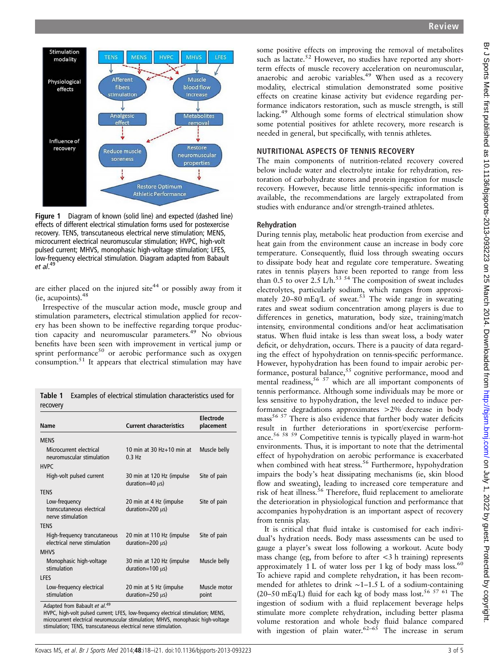



Figure 1 Diagram of known (solid line) and expected (dashed line) effects of different electrical stimulation forms used for postexercise recovery. TENS, transcutaneous electrical nerve stimulation; MENS, microcurrent electrical neuromuscular stimulation; HVPC, high-volt pulsed current; MHVS, monophasic high-voltage stimulation; LFES, low-frequency electrical stimulation. Diagram adapted from Babault et al. 49

are either placed on the injured site<sup>44</sup> or possibly away from it (ie, acupoints).<sup>48</sup>

Irrespective of the muscular action mode, muscle group and stimulation parameters, electrical stimulation applied for recovery has been shown to be ineffective regarding torque production capacity and neuromuscular parameters.<sup>49</sup> No obvious benefits have been seen with improvement in vertical jump or sprint performance $50$  or aerobic performance such as oxygen consumption.51 It appears that electrical stimulation may have

Table 1 Examples of electrical stimulation characteristics used for recovery

| Name                                                                                                                           | <b>Current characteristics</b>                         | <b>Electrode</b><br>placement |
|--------------------------------------------------------------------------------------------------------------------------------|--------------------------------------------------------|-------------------------------|
| <b>MENS</b>                                                                                                                    |                                                        |                               |
| Microcurrent electrical<br>neuromuscular stimulation                                                                           | 10 min at 30 Hz $+$ 10 min at<br>$0.3$ Hz              | Muscle belly                  |
| <b>HVPC</b>                                                                                                                    |                                                        |                               |
| High-volt pulsed current                                                                                                       | 30 min at 120 Hz (impulse<br>duration=40 $\mu$ s)      | Site of pain                  |
| <b>TENS</b>                                                                                                                    |                                                        |                               |
| Low-frequency<br>transcutaneous electrical<br>nerve stimulation                                                                | 20 min at 4 Hz (impulse<br>duration= $200 \,\mu s$ )   | Site of pain                  |
| <b>TENS</b>                                                                                                                    |                                                        |                               |
| High-frequency trancutaneous<br>electrical nerve stimulation                                                                   | 20 min at 110 Hz (impulse<br>duration= $200 \,\mu s$ ) | Site of pain                  |
| <b>MHVS</b>                                                                                                                    |                                                        |                               |
| Monophasic high-voltage<br>stimulation                                                                                         | 30 min at 120 Hz (impulse<br>duration= $100 \mu s$ )   | Muscle belly                  |
| <b>IFFS</b>                                                                                                                    |                                                        |                               |
| Low-frequency electrical<br>stimulation                                                                                        | 20 min at 5 Hz (impulse<br>duration= $250 \,\mu s$ )   | Muscle motor<br>point         |
| Adapted from Babault et al. <sup>49</sup><br>HVPC, high-volt pulsed current; LFES, low-frequency electrical stimulation; MENS, |                                                        |                               |

microcurrent electrical neuromuscular stimulation; MHVS, monophasic high-voltage stimulation; TENS, transcutaneous electrical nerve stimulation.

some positive effects on improving the removal of metabolites such as lactate.<sup>52</sup> However, no studies have reported any shortterm effects of muscle recovery acceleration on neuromuscular, anaerobic and aerobic variables.<sup>49</sup> When used as a recovery modality, electrical stimulation demonstrated some positive effects on creatine kinase activity but evidence regarding performance indicators restoration, such as muscle strength, is still lacking.<sup>49</sup> Although some forms of electrical stimulation show some potential positives for athlete recovery, more research is needed in general, but specifically, with tennis athletes.

## NUTRITIONAL ASPECTS OF TENNIS RECOVERY

The main components of nutrition-related recovery covered below include water and electrolyte intake for rehydration, restoration of carbohydrate stores and protein ingestion for muscle recovery. However, because little tennis-specific information is available, the recommendations are largely extrapolated from studies with endurance and/or strength-trained athletes.

#### Rehydration

During tennis play, metabolic heat production from exercise and heat gain from the environment cause an increase in body core temperature. Consequently, fluid loss through sweating occurs to dissipate body heat and regulate core temperature. Sweating rates in tennis players have been reported to range from less than 0.5 to over 2.5 L/h.<sup>53 54</sup> The composition of sweat includes electrolytes, particularly sodium, which ranges from approximately 20-80 mEq/L of sweat.<sup>53</sup> The wide range in sweating rates and sweat sodium concentration among players is due to differences in genetics, maturation, body size, training/match intensity, environmental conditions and/or heat acclimatisation status. When fluid intake is less than sweat loss, a body water deficit, or dehydration, occurs. There is a paucity of data regarding the effect of hypohydration on tennis-specific performance. However, hypohydration has been found to impair aerobic performance, postural balance,<sup>55</sup> cognitive performance, mood and mental readiness,<sup>56 57</sup> which are all important components of tennis performance. Although some individuals may be more or less sensitive to hypohydration, the level needed to induce performance degradations approximates >2% decrease in body  $mass<sup>56 57</sup>$  There is also evidence that further body water deficits result in further deteriorations in sport/exercise performance.<sup>56 58 59</sup> Competitive tennis is typically played in warm-hot environments. Thus, it is important to note that the detrimental effect of hypohydration on aerobic performance is exacerbated when combined with heat stress.<sup>56</sup> Furthermore, hypohydration impairs the body's heat dissipating mechanisms (ie, skin blood flow and sweating), leading to increased core temperature and risk of heat illness.<sup>56</sup> Therefore, fluid replacement to ameliorate the deterioration in physiological function and performance that accompanies hypohydration is an important aspect of recovery from tennis play.

It is critical that fluid intake is customised for each individual's hydration needs. Body mass assessments can be used to gauge a player's sweat loss following a workout. Acute body mass change (eg, from before to after <3 h training) represents approximately 1 L of water loss per 1 kg of body mass loss.<sup>60</sup> To achieve rapid and complete rehydration, it has been recommended for athletes to drink ∼1–1.5 L of a sodium-containing (20–50 mEq/L) fluid for each kg of body mass lost.<sup>56 57 61</sup> The ingestion of sodium with a fluid replacement beverage helps stimulate more complete rehydration, including better plasma volume restoration and whole body fluid balance compared with ingestion of plain water. $62-65$  The increase in serum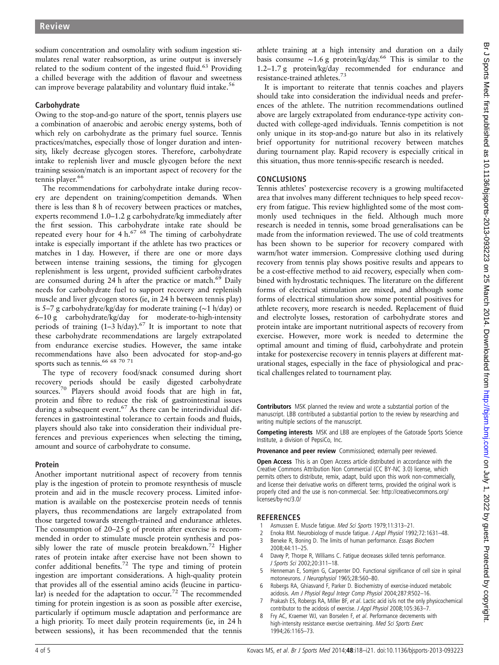sodium concentration and osmolality with sodium ingestion stimulates renal water reabsorption, as urine output is inversely related to the sodium content of the ingested fluid.<sup>63</sup> Providing a chilled beverage with the addition of flavour and sweetness can improve beverage palatability and voluntary fluid intake.<sup>56</sup>

## Carbohydrate

Owing to the stop-and-go nature of the sport, tennis players use a combination of anaerobic and aerobic energy systems, both of which rely on carbohydrate as the primary fuel source. Tennis practices/matches, especially those of longer duration and intensity, likely decrease glycogen stores. Therefore, carbohydrate intake to replenish liver and muscle glycogen before the next training session/match is an important aspect of recovery for the tennis player.<sup>66</sup>

The recommendations for carbohydrate intake during recovery are dependent on training/competition demands. When there is less than 8 h of recovery between practices or matches, experts recommend 1.0–1.2 g carbohydrate/kg immediately after the first session. This carbohydrate intake rate should be repeated every hour for  $4 h<sup>67</sup>$  68 The timing of carbohydrate intake is especially important if the athlete has two practices or matches in 1 day. However, if there are one or more days between intense training sessions, the timing for glycogen replenishment is less urgent, provided sufficient carbohydrates are consumed during 24 h after the practice or match.<sup>69</sup> Daily needs for carbohydrate fuel to support recovery and replenish muscle and liver glycogen stores (ie, in 24 h between tennis play) is 5–7 g carbohydrate/kg/day for moderate training (∼1 h/day) or 6–10 g carbohydrate/kg/day for moderate-to-high-intensity periods of training  $(1-3 h/day)$ .<sup>67</sup> It is important to note that these carbohydrate recommendations are largely extrapolated from endurance exercise studies. However, the same intake recommendations have also been advocated for stop-and-go sports such as tennis.<sup>66 68</sup> 70 71

The type of recovery food/snack consumed during short recovery periods should be easily digested carbohydrate sources.<sup>70</sup> Players should avoid foods that are high in fat, protein and fibre to reduce the risk of gastrointestinal issues during a subsequent event.<sup>67</sup> As there can be interindividual differences in gastrointestinal tolerance to certain foods and fluids, players should also take into consideration their individual preferences and previous experiences when selecting the timing, amount and source of carbohydrate to consume.

## Protein

Another important nutritional aspect of recovery from tennis play is the ingestion of protein to promote resynthesis of muscle protein and aid in the muscle recovery process. Limited information is available on the postexercise protein needs of tennis players, thus recommendations are largely extrapolated from those targeted towards strength-trained and endurance athletes. The consumption of 20–25 g of protein after exercise is recommended in order to stimulate muscle protein synthesis and possibly lower the rate of muscle protein breakdown.<sup>72</sup> Higher rates of protein intake after exercise have not been shown to confer additional benefits.<sup>72</sup> The type and timing of protein ingestion are important considerations. A high-quality protein that provides all of the essential amino acids (leucine in particular) is needed for the adaptation to occur.<sup>72</sup> The recommended timing for protein ingestion is as soon as possible after exercise, particularly if optimum muscle adaptation and performance are a high priority. To meet daily protein requirements (ie, in 24 h between sessions), it has been recommended that the tennis

athlete training at a high intensity and duration on a daily basis consume ∼1.6 g protein/kg/day.<sup>66</sup> This is similar to the 1.2–1.7 g protein/kg/day recommended for endurance and resistance-trained athletes.<sup>73</sup>

It is important to reiterate that tennis coaches and players should take into consideration the individual needs and preferences of the athlete. The nutrition recommendations outlined above are largely extrapolated from endurance-type activity conducted with college-aged individuals. Tennis competition is not only unique in its stop-and-go nature but also in its relatively brief opportunity for nutritional recovery between matches during tournament play. Rapid recovery is especially critical in this situation, thus more tennis-specific research is needed.

## **CONCLUSIONS**

Tennis athletes' postexercise recovery is a growing multifaceted area that involves many different techniques to help speed recovery from fatigue. This review highlighted some of the most commonly used techniques in the field. Although much more research is needed in tennis, some broad generalisations can be made from the information reviewed. The use of cold treatments has been shown to be superior for recovery compared with warm/hot water immersion. Compressive clothing used during recovery from tennis play shows positive results and appears to be a cost-effective method to aid recovery, especially when combined with hydrostatic techniques. The literature on the different forms of electrical stimulation are mixed, and although some forms of electrical stimulation show some potential positives for athlete recovery, more research is needed. Replacement of fluid and electrolyte losses, restoration of carbohydrate stores and protein intake are important nutritional aspects of recovery from exercise. However, more work is needed to determine the optimal amount and timing of fluid, carbohydrate and protein intake for postexercise recovery in tennis players at different maturational stages, especially in the face of physiological and practical challenges related to tournament play.

Contributors MSK planned the review and wrote a substantial portion of the manuscript. LBB contributed a substantial portion to the review by researching and writing multiple sections of the manuscript.

Competing interests MSK and LBB are employees of the Gatorade Sports Science Institute, a division of PepsiCo, Inc.

Provenance and peer review Commissioned; externally peer reviewed.

Open Access This is an Open Access article distributed in accordance with the Creative Commons Attribution Non Commercial (CC BY-NC 3.0) license, which permits others to distribute, remix, adapt, build upon this work non-commercially, and license their derivative works on different terms, provided the original work is properly cited and the use is non-commercial. See: [http://creativecommons.org/](http://creativecommons.org/licenses/by-nc/3.0/) [licenses/by-nc/3.0/](http://creativecommons.org/licenses/by-nc/3.0/)

## REFERENCES

- 1 Asmussen E. Muscle fatigue. Med Sci Sports 1979;11:313–21.
- 2 Enoka RM. Neurobiology of muscle fatigue. J Appl Physiol 1992;72:1631–48.
- 3 Beneke R, Boning D. The limits of human performance. Essays Biochem 2008;44:11–25.
- 4 Davey P, Thorpe R, Williams C. Fatigue decreases skilled tennis performance. J Sports Sci 2002;20:311–18.
- 5 Henneman E, Somjen G, Carpenter DO. Functional significance of cell size in spinal motoneurons. J Neurophysiol 1965;28:560–80.
- 6 Robergs RA, Ghiasvand F, Parker D. Biochemistry of exercise-induced metabolic acidosis. Am J Physiol Regul Integr Comp Physiol 2004;287:R502–16.
- Prakash ES, Robergs RA, Miller BF, et al. Lactic acid is/is not the only physicochemical contributor to the acidosis of exercise. J Appl Physiol 2008;105:363-7.
- Fry AC, Kraemer WJ, van Borselen F, et al. Performance decrements with high-intensity resistance exercise overtraining. Med Sci Sports Exerc 1994;26:1165–73.